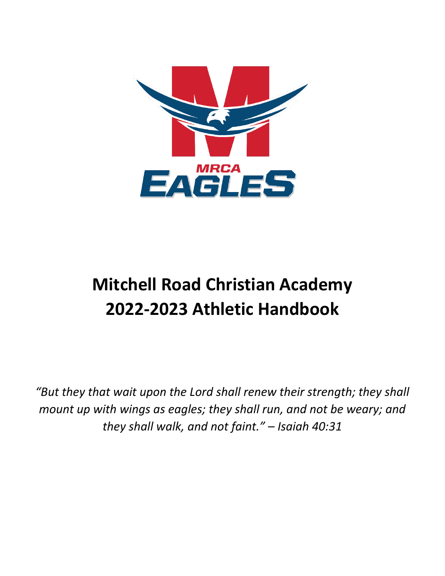

# **Mitchell Road Christian Academy 2022-2023 Athletic Handbook**

*"But they that wait upon the Lord shall renew their strength; they shall mount up with wings as eagles; they shall run, and not be weary; and they shall walk, and not faint." – Isaiah 40:31*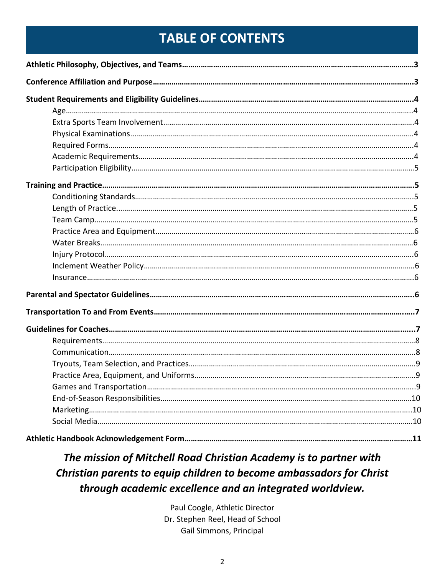# **TABLE OF CONTENTS**

### *The mission of Mitchell Road Christian Academy is to partner with Christian parents to equip children to become ambassadors for Christ through academic excellence and an integrated worldview.*

Paul Coogle, Athletic Director Dr. Stephen Reel, Head of School Gail Simmons, Principal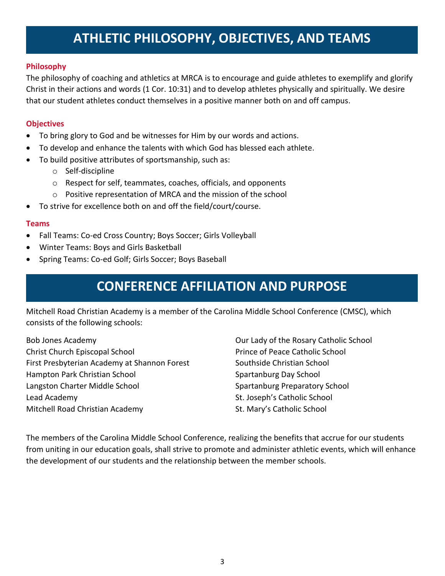# **ATHLETIC PHILOSOPHY, OBJECTIVES, AND TEAMS**

#### **Philosophy**

The philosophy of coaching and athletics at MRCA is to encourage and guide athletes to exemplify and glorify Christ in their actions and words (1 Cor. 10:31) and to develop athletes physically and spiritually. We desire that our student athletes conduct themselves in a positive manner both on and off campus.

#### **Objectives**

- To bring glory to God and be witnesses for Him by our words and actions.
- To develop and enhance the talents with which God has blessed each athlete.
- To build positive attributes of sportsmanship, such as:
	- o Self-discipline
	- o Respect for self, teammates, coaches, officials, and opponents
	- o Positive representation of MRCA and the mission of the school
- To strive for excellence both on and off the field/court/course.

#### **Teams**

- Fall Teams: Co-ed Cross Country; Boys Soccer; Girls Volleyball
- Winter Teams: Boys and Girls Basketball
- Spring Teams: Co-ed Golf; Girls Soccer; Boys Baseball

# **CONFERENCE AFFILIATION AND PURPOSE**

Mitchell Road Christian Academy is a member of the Carolina Middle School Conference (CMSC), which consists of the following schools:

Bob Jones Academy Christ Church Episcopal School First Presbyterian Academy at Shannon Forest Hampton Park Christian School Langston Charter Middle School Lead Academy Mitchell Road Christian Academy

Our Lady of the Rosary Catholic School Prince of Peace Catholic School Southside Christian School Spartanburg Day School Spartanburg Preparatory School St. Joseph's Catholic School St. Mary's Catholic School

The members of the Carolina Middle School Conference, realizing the benefits that accrue for our students from uniting in our education goals, shall strive to promote and administer athletic events, which will enhance the development of our students and the relationship between the member schools.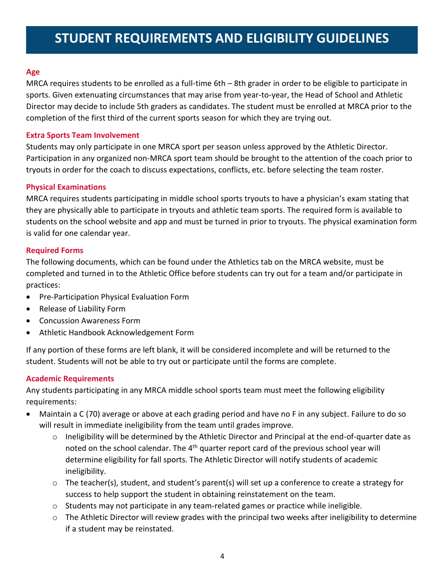# **STUDENT REQUIREMENTS AND ELIGIBILITY GUIDELINES**

#### **Age**

MRCA requires students to be enrolled as a full-time 6th – 8th grader in order to be eligible to participate in sports. Given extenuating circumstances that may arise from year-to-year, the Head of School and Athletic Director may decide to include 5th graders as candidates. The student must be enrolled at MRCA prior to the completion of the first third of the current sports season for which they are trying out.

#### **Extra Sports Team Involvement**

Students may only participate in one MRCA sport per season unless approved by the Athletic Director. Participation in any organized non-MRCA sport team should be brought to the attention of the coach prior to tryouts in order for the coach to discuss expectations, conflicts, etc. before selecting the team roster.

#### **Physical Examinations**

MRCA requires students participating in middle school sports tryouts to have a physician's exam stating that they are physically able to participate in tryouts and athletic team sports. The required form is available to students on the school website and app and must be turned in prior to tryouts. The physical examination form is valid for one calendar year.

#### **Required Forms**

The following documents, which can be found under the Athletics tab on the MRCA website, must be completed and turned in to the Athletic Office before students can try out for a team and/or participate in practices:

- Pre-Participation Physical Evaluation Form
- Release of Liability Form
- Concussion Awareness Form
- Athletic Handbook Acknowledgement Form

If any portion of these forms are left blank, it will be considered incomplete and will be returned to the student. Students will not be able to try out or participate until the forms are complete.

#### **Academic Requirements**

Any students participating in any MRCA middle school sports team must meet the following eligibility requirements:

- Maintain a C (70) average or above at each grading period and have no F in any subject. Failure to do so will result in immediate ineligibility from the team until grades improve.
	- $\circ$  Ineligibility will be determined by the Athletic Director and Principal at the end-of-quarter date as noted on the school calendar. The 4<sup>th</sup> quarter report card of the previous school year will determine eligibility for fall sports. The Athletic Director will notify students of academic ineligibility.
	- $\circ$  The teacher(s), student, and student's parent(s) will set up a conference to create a strategy for success to help support the student in obtaining reinstatement on the team.
	- $\circ$  Students may not participate in any team-related games or practice while ineligible.
	- $\circ$  The Athletic Director will review grades with the principal two weeks after ineligibility to determine if a student may be reinstated.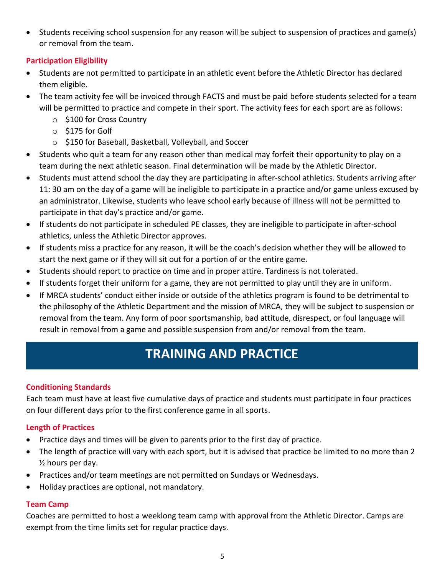• Students receiving school suspension for any reason will be subject to suspension of practices and game(s) or removal from the team.

### **Participation Eligibility**

- Students are not permitted to participate in an athletic event before the Athletic Director has declared them eligible.
- The team activity fee will be invoiced through FACTS and must be paid before students selected for a team will be permitted to practice and compete in their sport. The activity fees for each sport are as follows:
	- o \$100 for Cross Country
	- o \$175 for Golf
	- o \$150 for Baseball, Basketball, Volleyball, and Soccer
- Students who quit a team for any reason other than medical may forfeit their opportunity to play on a team during the next athletic season. Final determination will be made by the Athletic Director.
- Students must attend school the day they are participating in after-school athletics. Students arriving after 11: 30 am on the day of a game will be ineligible to participate in a practice and/or game unless excused by an administrator. Likewise, students who leave school early because of illness will not be permitted to participate in that day's practice and/or game.
- If students do not participate in scheduled PE classes, they are ineligible to participate in after-school athletics, unless the Athletic Director approves.
- If students miss a practice for any reason, it will be the coach's decision whether they will be allowed to start the next game or if they will sit out for a portion of or the entire game.
- Students should report to practice on time and in proper attire. Tardiness is not tolerated.
- If students forget their uniform for a game, they are not permitted to play until they are in uniform.
- If MRCA students' conduct either inside or outside of the athletics program is found to be detrimental to the philosophy of the Athletic Department and the mission of MRCA, they will be subject to suspension or removal from the team. Any form of poor sportsmanship, bad attitude, disrespect, or foul language will result in removal from a game and possible suspension from and/or removal from the team.

# **TRAINING AND PRACTICE**

### **Conditioning Standards**

Each team must have at least five cumulative days of practice and students must participate in four practices on four different days prior to the first conference game in all sports.

### **Length of Practices**

- Practice days and times will be given to parents prior to the first day of practice.
- The length of practice will vary with each sport, but it is advised that practice be limited to no more than 2 ½ hours per day.
- Practices and/or team meetings are not permitted on Sundays or Wednesdays.
- Holiday practices are optional, not mandatory.

### **Team Camp**

Coaches are permitted to host a weeklong team camp with approval from the Athletic Director. Camps are exempt from the time limits set for regular practice days.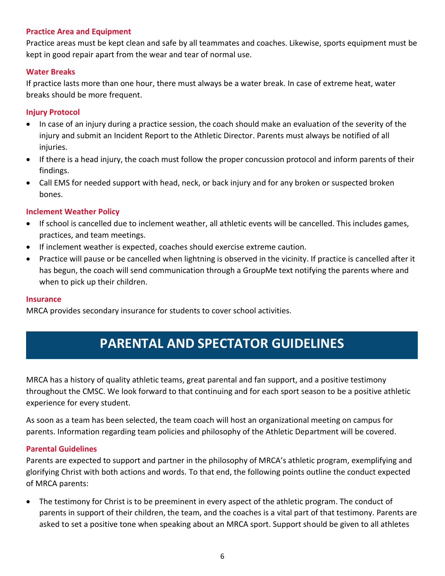#### **Practice Area and Equipment**

Practice areas must be kept clean and safe by all teammates and coaches. Likewise, sports equipment must be kept in good repair apart from the wear and tear of normal use.

#### **Water Breaks**

If practice lasts more than one hour, there must always be a water break. In case of extreme heat, water breaks should be more frequent.

#### **Injury Protocol**

- In case of an injury during a practice session, the coach should make an evaluation of the severity of the injury and submit an Incident Report to the Athletic Director. Parents must always be notified of all injuries.
- If there is a head injury, the coach must follow the proper concussion protocol and inform parents of their findings.
- Call EMS for needed support with head, neck, or back injury and for any broken or suspected broken bones.

#### **Inclement Weather Policy**

- If school is cancelled due to inclement weather, all athletic events will be cancelled. This includes games, practices, and team meetings.
- If inclement weather is expected, coaches should exercise extreme caution.
- Practice will pause or be cancelled when lightning is observed in the vicinity. If practice is cancelled after it has begun, the coach will send communication through a GroupMe text notifying the parents where and when to pick up their children.

#### **Insurance**

MRCA provides secondary insurance for students to cover school activities.

# **PARENTAL AND SPECTATOR GUIDELINES**

MRCA has a history of quality athletic teams, great parental and fan support, and a positive testimony throughout the CMSC. We look forward to that continuing and for each sport season to be a positive athletic experience for every student.

As soon as a team has been selected, the team coach will host an organizational meeting on campus for parents. Information regarding team policies and philosophy of the Athletic Department will be covered.

#### **Parental Guidelines**

Parents are expected to support and partner in the philosophy of MRCA's athletic program, exemplifying and glorifying Christ with both actions and words. To that end, the following points outline the conduct expected of MRCA parents:

• The testimony for Christ is to be preeminent in every aspect of the athletic program. The conduct of parents in support of their children, the team, and the coaches is a vital part of that testimony. Parents are asked to set a positive tone when speaking about an MRCA sport. Support should be given to all athletes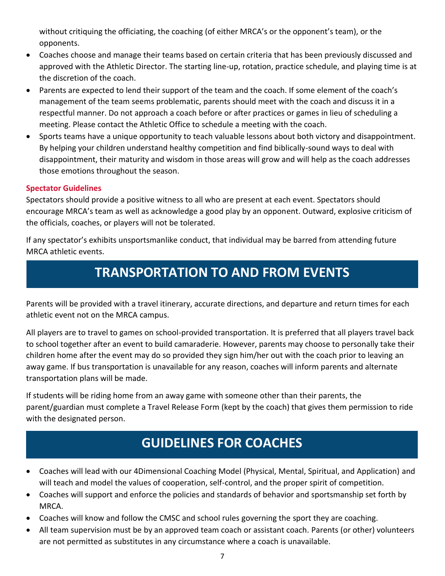without critiquing the officiating, the coaching (of either MRCA's or the opponent's team), or the opponents.

- Coaches choose and manage their teams based on certain criteria that has been previously discussed and approved with the Athletic Director. The starting line-up, rotation, practice schedule, and playing time is at the discretion of the coach.
- Parents are expected to lend their support of the team and the coach. If some element of the coach's management of the team seems problematic, parents should meet with the coach and discuss it in a respectful manner. Do not approach a coach before or after practices or games in lieu of scheduling a meeting. Please contact the Athletic Office to schedule a meeting with the coach.
- Sports teams have a unique opportunity to teach valuable lessons about both victory and disappointment. By helping your children understand healthy competition and find biblically-sound ways to deal with disappointment, their maturity and wisdom in those areas will grow and will help as the coach addresses those emotions throughout the season.

### **Spectator Guidelines**

Spectators should provide a positive witness to all who are present at each event. Spectators should encourage MRCA's team as well as acknowledge a good play by an opponent. Outward, explosive criticism of the officials, coaches, or players will not be tolerated.

If any spectator's exhibits unsportsmanlike conduct, that individual may be barred from attending future MRCA athletic events.

# **TRANSPORTATION TO AND FROM EVENTS**

Parents will be provided with a travel itinerary, accurate directions, and departure and return times for each athletic event not on the MRCA campus.

All players are to travel to games on school-provided transportation. It is preferred that all players travel back to school together after an event to build camaraderie. However, parents may choose to personally take their children home after the event may do so provided they sign him/her out with the coach prior to leaving an away game. If bus transportation is unavailable for any reason, coaches will inform parents and alternate transportation plans will be made.

If students will be riding home from an away game with someone other than their parents, the parent/guardian must complete a Travel Release Form (kept by the coach) that gives them permission to ride with the designated person.

# **GUIDELINES FOR COACHES**

- Coaches will lead with our 4Dimensional Coaching Model (Physical, Mental, Spiritual, and Application) and will teach and model the values of cooperation, self-control, and the proper spirit of competition.
- Coaches will support and enforce the policies and standards of behavior and sportsmanship set forth by MRCA.
- Coaches will know and follow the CMSC and school rules governing the sport they are coaching.
- All team supervision must be by an approved team coach or assistant coach. Parents (or other) volunteers are not permitted as substitutes in any circumstance where a coach is unavailable.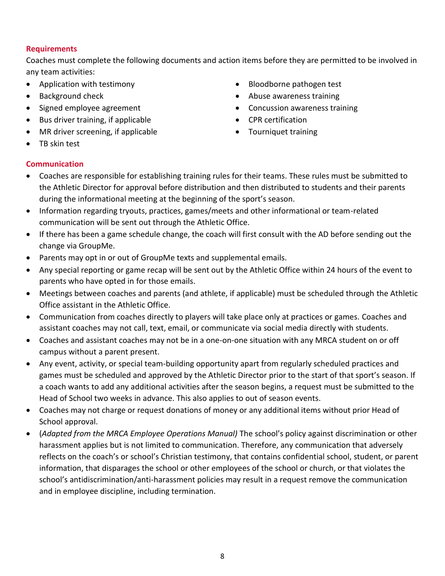#### **Requirements**

Coaches must complete the following documents and action items before they are permitted to be involved in any team activities:

- Application with testimony
- Background check
- Signed employee agreement
- Bus driver training, if applicable
- MR driver screening, if applicable
- Bloodborne pathogen test
- Abuse awareness training
- Concussion awareness training
- CPR certification
- Tourniquet training

• TB skin test

### **Communication**

- Coaches are responsible for establishing training rules for their teams. These rules must be submitted to the Athletic Director for approval before distribution and then distributed to students and their parents during the informational meeting at the beginning of the sport's season.
- Information regarding tryouts, practices, games/meets and other informational or team-related communication will be sent out through the Athletic Office.
- If there has been a game schedule change, the coach will first consult with the AD before sending out the change via GroupMe.
- Parents may opt in or out of GroupMe texts and supplemental emails.
- Any special reporting or game recap will be sent out by the Athletic Office within 24 hours of the event to parents who have opted in for those emails.
- Meetings between coaches and parents (and athlete, if applicable) must be scheduled through the Athletic Office assistant in the Athletic Office.
- Communication from coaches directly to players will take place only at practices or games. Coaches and assistant coaches may not call, text, email, or communicate via social media directly with students.
- Coaches and assistant coaches may not be in a one-on-one situation with any MRCA student on or off campus without a parent present.
- Any event, activity, or special team-building opportunity apart from regularly scheduled practices and games must be scheduled and approved by the Athletic Director prior to the start of that sport's season. If a coach wants to add any additional activities after the season begins, a request must be submitted to the Head of School two weeks in advance. This also applies to out of season events.
- Coaches may not charge or request donations of money or any additional items without prior Head of School approval.
- (*Adapted from the MRCA Employee Operations Manual)* The school's policy against discrimination or other harassment applies but is not limited to communication. Therefore, any communication that adversely reflects on the coach's or school's Christian testimony, that contains confidential school, student, or parent information, that disparages the school or other employees of the school or church, or that violates the school's antidiscrimination/anti-harassment policies may result in a request remove the communication and in employee discipline, including termination.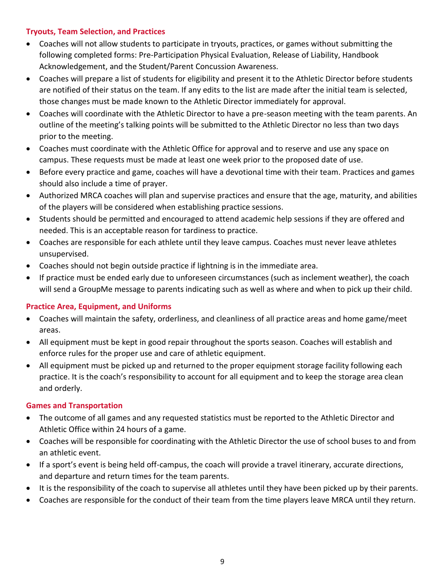### **Tryouts, Team Selection, and Practices**

- Coaches will not allow students to participate in tryouts, practices, or games without submitting the following completed forms: Pre-Participation Physical Evaluation, Release of Liability, Handbook Acknowledgement, and the Student/Parent Concussion Awareness.
- Coaches will prepare a list of students for eligibility and present it to the Athletic Director before students are notified of their status on the team. If any edits to the list are made after the initial team is selected, those changes must be made known to the Athletic Director immediately for approval.
- Coaches will coordinate with the Athletic Director to have a pre-season meeting with the team parents. An outline of the meeting's talking points will be submitted to the Athletic Director no less than two days prior to the meeting.
- Coaches must coordinate with the Athletic Office for approval and to reserve and use any space on campus. These requests must be made at least one week prior to the proposed date of use.
- Before every practice and game, coaches will have a devotional time with their team. Practices and games should also include a time of prayer.
- Authorized MRCA coaches will plan and supervise practices and ensure that the age, maturity, and abilities of the players will be considered when establishing practice sessions.
- Students should be permitted and encouraged to attend academic help sessions if they are offered and needed. This is an acceptable reason for tardiness to practice.
- Coaches are responsible for each athlete until they leave campus. Coaches must never leave athletes unsupervised.
- Coaches should not begin outside practice if lightning is in the immediate area.
- If practice must be ended early due to unforeseen circumstances (such as inclement weather), the coach will send a GroupMe message to parents indicating such as well as where and when to pick up their child.

### **Practice Area, Equipment, and Uniforms**

- Coaches will maintain the safety, orderliness, and cleanliness of all practice areas and home game/meet areas.
- All equipment must be kept in good repair throughout the sports season. Coaches will establish and enforce rules for the proper use and care of athletic equipment.
- All equipment must be picked up and returned to the proper equipment storage facility following each practice. It is the coach's responsibility to account for all equipment and to keep the storage area clean and orderly.

### **Games and Transportation**

- The outcome of all games and any requested statistics must be reported to the Athletic Director and Athletic Office within 24 hours of a game.
- Coaches will be responsible for coordinating with the Athletic Director the use of school buses to and from an athletic event.
- If a sport's event is being held off-campus, the coach will provide a travel itinerary, accurate directions, and departure and return times for the team parents.
- It is the responsibility of the coach to supervise all athletes until they have been picked up by their parents.
- Coaches are responsible for the conduct of their team from the time players leave MRCA until they return.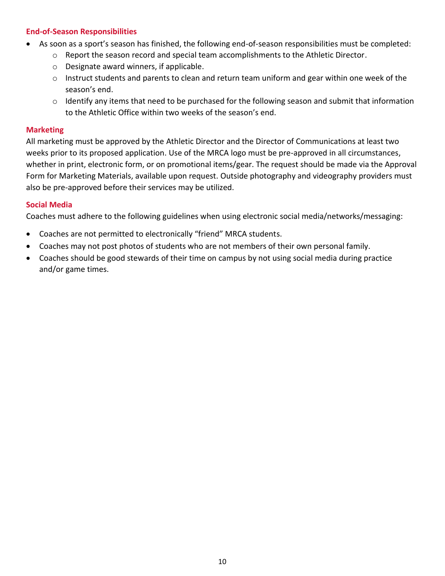#### **End-of-Season Responsibilities**

- As soon as a sport's season has finished, the following end-of-season responsibilities must be completed:
	- $\circ$  Report the season record and special team accomplishments to the Athletic Director.
	- o Designate award winners, if applicable.
	- $\circ$  Instruct students and parents to clean and return team uniform and gear within one week of the season's end.
	- $\circ$  Identify any items that need to be purchased for the following season and submit that information to the Athletic Office within two weeks of the season's end.

#### **Marketing**

All marketing must be approved by the Athletic Director and the Director of Communications at least two weeks prior to its proposed application. Use of the MRCA logo must be pre-approved in all circumstances, whether in print, electronic form, or on promotional items/gear. The request should be made via the Approval Form for Marketing Materials, available upon request. Outside photography and videography providers must also be pre-approved before their services may be utilized.

#### **Social Media**

Coaches must adhere to the following guidelines when using electronic social media/networks/messaging:

- Coaches are not permitted to electronically "friend" MRCA students.
- Coaches may not post photos of students who are not members of their own personal family.
- Coaches should be good stewards of their time on campus by not using social media during practice and/or game times.